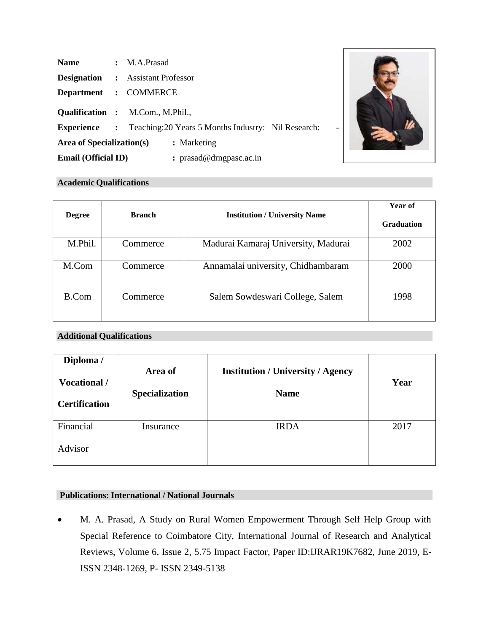| <b>Name</b>                | $\therefore$ M.A.Prasad                                                 |  |  |
|----------------------------|-------------------------------------------------------------------------|--|--|
| <b>Designation</b>         | : Assistant Professor                                                   |  |  |
|                            | Department : COMMERCE                                                   |  |  |
|                            | <b>Qualification :</b> M.Com., M.Phil.,                                 |  |  |
|                            | <b>Experience</b> : Teaching: 20 Years 5 Months Industry: Nil Research: |  |  |
| Area of Specialization(s)  | : Marketing                                                             |  |  |
| <b>Email (Official ID)</b> | : prasad@drngpasc.ac.in                                                 |  |  |



# **Academic Qualifications**

| <b>Degree</b> | <b>Branch</b> | <b>Institution / University Name</b> | Year of<br><b>Graduation</b> |
|---------------|---------------|--------------------------------------|------------------------------|
| M.Phil.       | Commerce      | Madurai Kamaraj University, Madurai  | 2002                         |
| M.Com         | Commerce      | Annamalai university, Chidhambaram   | 2000                         |
| <b>B.Com</b>  | Commerce      | Salem Sowdeswari College, Salem      | 1998                         |

## **Additional Qualifications**

| Diploma /<br>Vocational /<br><b>Certification</b> | Area of<br>Specialization | <b>Institution / University / Agency</b><br><b>Name</b> | Year |
|---------------------------------------------------|---------------------------|---------------------------------------------------------|------|
| Financial<br>Advisor                              | Insurance                 | <b>IRDA</b>                                             | 2017 |

# **Publications: International / National Journals**

• M. A. Prasad, A Study on Rural Women Empowerment Through Self Help Group with Special Reference to Coimbatore City, International Journal of Research and Analytical Reviews, Volume 6, Issue 2, 5.75 Impact Factor, Paper ID:IJRAR19K7682, June 2019, E-ISSN 2348-1269, P- ISSN 2349-5138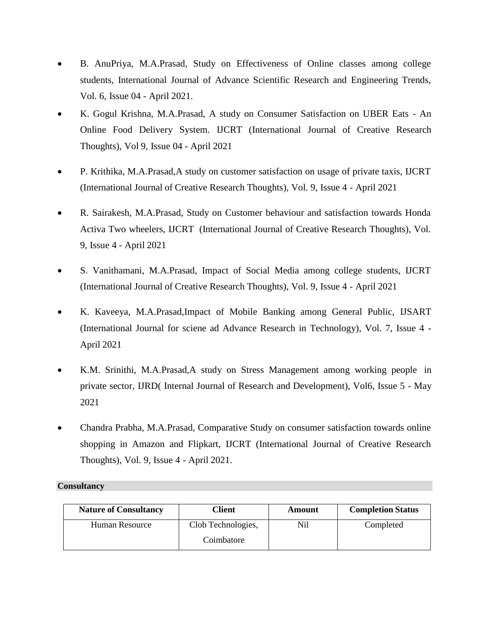- B. AnuPriya, M.A.Prasad, Study on Effectiveness of Online classes among college students, International Journal of Advance Scientific Research and Engineering Trends, Vol. 6, Issue 04 - April 2021.
- K. Gogul Krishna, M.A.Prasad, A study on Consumer Satisfaction on UBER Eats An Online Food Delivery System. IJCRT (International Journal of Creative Research Thoughts), Vol 9, Issue 04 - April 2021
- P. Krithika, M.A.Prasad,A study on customer satisfaction on usage of private taxis, IJCRT (International Journal of Creative Research Thoughts), Vol. 9, Issue 4 - April 2021
- R. Sairakesh, M.A.Prasad, Study on Customer behaviour and satisfaction towards Honda Activa Two wheelers, IJCRT (International Journal of Creative Research Thoughts), Vol. 9, Issue 4 - April 2021
- S. Vanithamani, M.A.Prasad, Impact of Social Media among college students, IJCRT (International Journal of Creative Research Thoughts), Vol. 9, Issue 4 - April 2021
- K. Kaveeya, M.A.Prasad,Impact of Mobile Banking among General Public, IJSART (International Journal for sciene ad Advance Research in Technology), Vol. 7, Issue 4 - April 2021
- K.M. Srinithi, M.A.Prasad,A study on Stress Management among working people in private sector, IJRD( Internal Journal of Research and Development), Vol6, Issue 5 - May 2021
- Chandra Prabha, M.A.Prasad, Comparative Study on consumer satisfaction towards online shopping in Amazon and Flipkart, IJCRT (International Journal of Creative Research Thoughts), Vol. 9, Issue 4 - April 2021.

### **Consultancy**

| <b>Nature of Consultancy</b> | Client             | Amount | <b>Completion Status</b> |
|------------------------------|--------------------|--------|--------------------------|
| Human Resource               | Clob Technologies, | Ni1    | Completed                |
|                              | Coimbatore         |        |                          |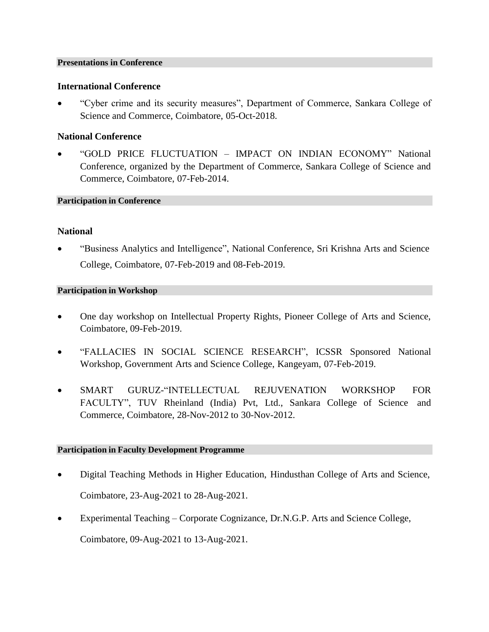### **Presentations in Conference**

### **International Conference**

• "Cyber crime and its security measures", Department of Commerce, Sankara College of Science and Commerce, Coimbatore, 05-Oct-2018.

## **National Conference**

• "GOLD PRICE FLUCTUATION – IMPACT ON INDIAN ECONOMY" National Conference, organized by the Department of Commerce, Sankara College of Science and Commerce, Coimbatore, 07-Feb-2014.

### **Participation in Conference**

### **National**

• "Business Analytics and Intelligence", National Conference, Sri Krishna Arts and Science College, Coimbatore, 07-Feb-2019 and 08-Feb-2019.

### **Participation in Workshop**

- One day workshop on Intellectual Property Rights, Pioneer College of Arts and Science, Coimbatore, 09-Feb-2019.
- "FALLACIES IN SOCIAL SCIENCE RESEARCH", ICSSR Sponsored National Workshop, Government Arts and Science College, Kangeyam, 07-Feb-2019.
- SMART GURUZ-"INTELLECTUAL REJUVENATION WORKSHOP FOR FACULTY", TUV Rheinland (India) Pvt, Ltd., Sankara College of Science and Commerce, Coimbatore, 28-Nov-2012 to 30-Nov-2012.

### **Participation in Faculty Development Programme**

- Digital Teaching Methods in Higher Education, Hindusthan College of Arts and Science, Coimbatore, 23-Aug-2021 to 28-Aug-2021.
- Experimental Teaching Corporate Cognizance, Dr.N.G.P. Arts and Science College,

Coimbatore, 09-Aug-2021 to 13-Aug-2021.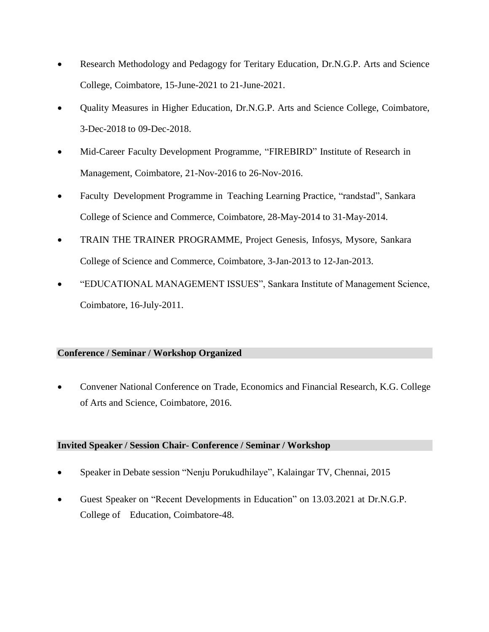- Research Methodology and Pedagogy for Teritary Education, Dr.N.G.P. Arts and Science College, Coimbatore, 15-June-2021 to 21-June-2021.
- Quality Measures in Higher Education, Dr.N.G.P. Arts and Science College, Coimbatore, 3-Dec-2018 to 09-Dec-2018.
- Mid-Career Faculty Development Programme, "FIREBIRD" Institute of Research in Management, Coimbatore, 21-Nov-2016 to 26-Nov-2016.
- Faculty Development Programme in Teaching Learning Practice, "randstad", Sankara College of Science and Commerce, Coimbatore, 28-May-2014 to 31-May-2014.
- TRAIN THE TRAINER PROGRAMME, Project Genesis, Infosys, Mysore, Sankara College of Science and Commerce, Coimbatore, 3-Jan-2013 to 12-Jan-2013.
- "EDUCATIONAL MANAGEMENT ISSUES", Sankara Institute of Management Science, Coimbatore, 16-July-2011.

# **Conference / Seminar / Workshop Organized**

• Convener National Conference on Trade, Economics and Financial Research, K.G. College of Arts and Science, Coimbatore, 2016.

# **Invited Speaker / Session Chair- Conference / Seminar / Workshop**

- Speaker in Debate session "Nenju Porukudhilaye", Kalaingar TV, Chennai, 2015
- Guest Speaker on "Recent Developments in Education" on 13.03.2021 at Dr.N.G.P. College of Education, Coimbatore-48.